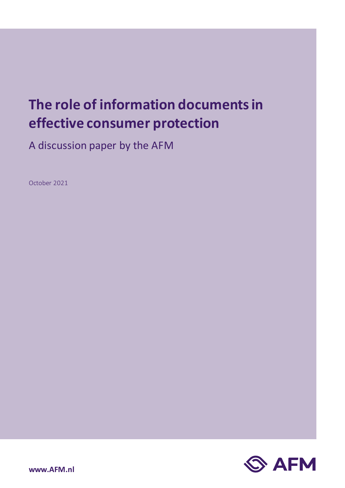# **The role of information documents in effective consumer protection**

A discussion paper by the AFM

October 2021

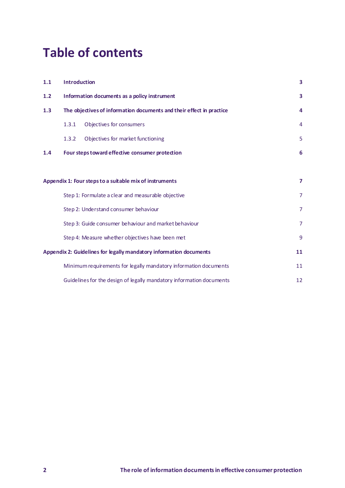# **Table of contents**

| 1.1                                                                | <b>Introduction</b><br>Information documents as a policy instrument  |                                                                      | 3<br>3         |
|--------------------------------------------------------------------|----------------------------------------------------------------------|----------------------------------------------------------------------|----------------|
| 1.2                                                                |                                                                      |                                                                      |                |
| 1.3                                                                | The objectives of information documents and their effect in practice |                                                                      | 4              |
|                                                                    | 1.3.1                                                                | Objectives for consumers                                             | 4              |
|                                                                    | 1.3.2                                                                | Objectives for market functioning                                    | 5              |
| 1.4                                                                | Four steps toward effective consumer protection                      |                                                                      | 6              |
|                                                                    |                                                                      |                                                                      |                |
| Appendix 1: Four steps to a suitable mix of instruments            |                                                                      |                                                                      | $\overline{ }$ |
|                                                                    |                                                                      | Step 1: Formulate a clear and measurable objective                   | $\overline{7}$ |
|                                                                    | Step 2: Understand consumer behaviour                                |                                                                      | $\overline{7}$ |
|                                                                    | Step 3: Guide consumer behaviour and market behaviour                |                                                                      | $\overline{7}$ |
|                                                                    |                                                                      | Step 4: Measure whether objectives have been met                     | 9              |
| Appendix 2: Guidelines for legally mandatory information documents |                                                                      |                                                                      | 11             |
|                                                                    |                                                                      | Minimum requirements for legally mandatory information documents     | 11             |
|                                                                    |                                                                      | Guidelines for the design of legally mandatory information documents | 12             |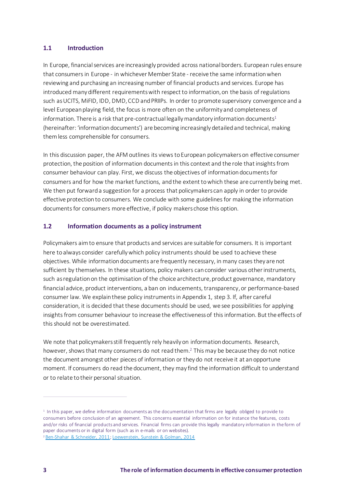# <span id="page-2-0"></span>**1.1 Introduction**

In Europe, financial services are increasingly provided across national borders. European rules ensure that consumers in Europe - in whichever Member State - receive the same information when reviewing and purchasing an increasing number of financial products and services. Europe has introduced many different requirements with respect to information, on the basis of regulations such as UCITS, MiFID, IDD, DMD, CCD and PRIIPs. In order to promote supervisory convergence and a level European playing field, the focus is more often on the uniformity and completeness of information. There is a risk that pre-contractual legally mandatory information documents<sup>1</sup> (hereinafter: 'information documents') are becoming increasingly detailed and technical, making them less comprehensible for consumers.

In this discussion paper, the AFM outlines its views to European policymakers on effective consumer protection, the position of information documents in this context and the role that insights from consumer behaviour can play. First, we discuss the objectives of information documents for consumers and for how the market functions, and the extent to which these are currently being met. We then put forward a suggestion for a process that policymakers can apply in order to provide effective protection to consumers. We conclude with some guidelines for making the information documents for consumers more effective, if policy makers chose this option.

# <span id="page-2-1"></span>**1.2 Information documents as a policy instrument**

Policymakers aim to ensure that products and services are suitable for consumers. It is important here to always consider carefully which policy instruments should be used to achieve these objectives. While information documents are frequently necessary, in many cases they are not sufficient by themselves. In these situations, policy makers can consider various other instruments, such as regulation on the optimisation of the choice architecture, product governance, mandatory financial advice, product interventions, a ban on inducements, transparency,or performance-based consumer law*.* We explain these policy instruments in Appendix 1, step 3. If, after careful consideration, it is decided that these documents should be used, we see possibilities for applying insights from consumer behaviour to increase the effectiveness of this information. But the effects of this should not be overestimated.

We note that policymakers still frequently rely heavily on information documents. Research, however, shows that many consumers do not read them.<sup>2</sup> This may be because they do not notice the document amongst other pieces of information or they do not receive it at an opportune moment. If consumers do read the document, they may find the information difficult to understand or to relate to their personal situation.

<sup>1</sup> In this paper, we define information documents as the documentation that firms are legally obliged to provide to consumers before conclusion of an agreement. This concerns essential information on for instance the features, costs and/or risks of financial products and services. Financial firms can provide this legally mandatory information in the form of paper documents or in digital form (such as in e-mails or on websites).

<sup>2</sup> [Ben-Shahar & Schneider, 2011](https://www.law.upenn.edu/journals/lawreview/articles/volume159/issue3/BenShaharSchneider159U.Pa.L.Rev.647(2011).pdf)[; Loewenstein, Sunstein & Golman, 2014](https://www.annualreviews.org/doi/abs/10.1146/annurev-economics-080213-041341?journalCode=economics)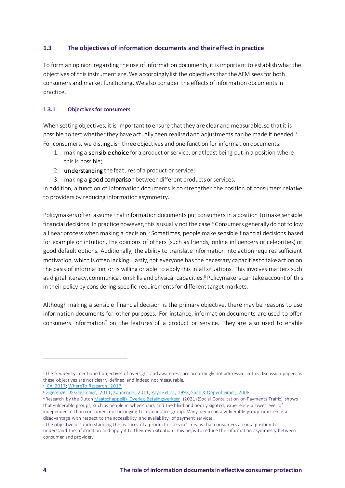# <span id="page-3-0"></span>**1.3 The objectives of information documents and their effect in practice**

To form an opinion regarding the use of information documents, it is important to establish what the objectives of this instrument are. We accordingly list the objectives that the AFM sees for both consumers and market functioning. We also consider the effects of information documents in practice.

# <span id="page-3-1"></span>**1.3.1 Objectivesfor consumers**

When setting objectives, it is important to ensure that they are clear and measurable, so that it is possible to test whether they have actually been realised and adjustments can be made if needed.<sup>3</sup> For consumers, we distinguish three objectives and one function for information documents:

- 1. making a sensible choice for a product or service, or at least being put in a position where this is possible;
- 2. understanding the features of a product or service;
- 3. making a good comparison between different products or services.

In addition, a function of information documents is to strengthen the position of consumers relative to providers by reducing information asymmetry.

Policymakers often assume that information documents put consumers in a position to make sensible financial decisions. In practice however, this is usually not the case.<sup>4</sup> Consumers generally do not follow a linear process when making a decision.<sup>5</sup> Sometimes, people make sensible financial decisions based for example on intuition, the opinions of others (such as friends, online influencers or celebrities) or good default options. Additionally, the ability to translate information into action requires sufficient motivation, which is often lacking. Lastly, not everyone has the necessary capacities to take action on the basis of information, or is willing or able to apply this in all situations. This involves matters such as digital literacy, communication skills and physical capacities.<sup>6</sup> Policymakers can take account of this in their policy by considering specific requirements for different target markets.

Although making a sensible financial decision is the primary objective, there may be reasons to use information documents for other purposes. For instance, information documents are used to offer consumers information<sup>7</sup> on the features of a product or service. They are also used to enable

<sup>&</sup>lt;sup>3</sup> The frequently mentioned objectives of oversight and awareness are accordingly not addressed in this discussion paper, as these objectives are not clearly defined and indeed not measurable.

<sup>4</sup> [ICA, 2017;](https://insurancecouncil.com.au/issue-submissions/reports/consumer-research-on-general-insurance-product-disclosures) [WhereTo Research, 2017](https://download.asic.gov.au/media/4431769/rep540-attachment-published-31-august-2017.pdf)

<sup>&</sup>lt;sup>5</sup> [Gigerenzer & Gaissmaier, 2011](https://pure.mpg.de/rest/items/item_2099042/component/file_2099041/content)[; Kahneman, 2011](https://link.springer.com/article/10.1007/s00362-013-0533-y)[; Payne et al., 1993](https://books.google.nl/books?hl=en&lr=&id=QzXFqwrPLXkC&oi=fnd&pg=PR11&ots=13LK-iFAin&sig=Yjr4YYh8wbRi7_DUo4h_eFjLuTs#v=onepage&q&f=false); Shah & Oppenheimer, 2008

<sup>&</sup>lt;sup>6</sup> Research by the Dutc[h Maatschappelijk Overleg Betalingsverkeer](https://www.dnb.nl/media/s1wmam23/bereikbaarheidsmonitor.pdf) (2021) (Social Consultation on Payments Traffic) shows that vulnerable groups, such as people in wheelchairs and the blind and poorly sighted, experience a lower level of independence than consumers not belonging to a vulnerable group. Many people in a vulnerable group experience a disadvantage with respect to the accessibility and availability of payment services.

<sup>7</sup> The objective of 'understanding the features of a product or service' means that consumers are in a position to understand the information and apply it to their own situation. This helps to reduce the information asymmetry between consumer and provider.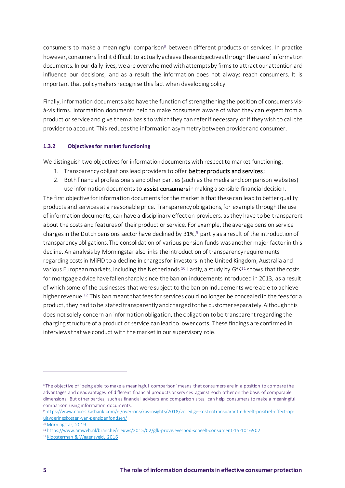consumers to make a meaningful comparison<sup>8</sup> between different products or services. In practice however, consumers find it difficult to actually achieve these objectives through the use of information documents. In our daily lives, we are overwhelmed with attempts by firms to attract our attention and influence our decisions, and as a result the information does not always reach consumers. It is important that policymakers recognise this fact when developing policy.

Finally, information documents also have the function of strengthening the position of consumers visà-vis firms. Information documents help to make consumers aware of what they can expect from a product or service and give them a basis to which they can refer if necessary or if they wish to call the provider to account. This reduces the information asymmetry between provider and consumer.

# <span id="page-4-0"></span>**1.3.2 Objectives for market functioning**

We distinguish two objectives for information documents with respect to market functioning:

- 1. Transparency obligations lead providers to offer better products and services;
- 2. Both financial professionals and other parties(such as the media and comparison websites) use information documents to **assist consumers** in making a sensible financial decision.

The first objective for information documents for the market is that these can lead to better quality products and services at a reasonable price. Transparency obligations, for example through the use of information documents, can have a disciplinary effect on providers, as they have to be transparent about the costs and features of their product or service. For example, the average pension service charges in the Dutch pensions sector have declined by 31%,<sup>9</sup> partly as a result of the introduction of transparency obligations. The consolidation of various pension funds was another major factor in this decline. An analysis by Morningstar also links the introduction of transparency requirements regarding costs in MiFID to a decline in charges for investors in the United Kingdom, Australia and various European markets, including the Netherlands.<sup>10</sup> Lastly, a study by GfK<sup>11</sup> shows that the costs for mortgage advice have fallen sharply since the ban on inducements introduced in 2013, as a result of which some of the businesses that were subject to the ban on inducements were able to achieve higher revenue.<sup>12</sup> This ban meant that fees for services could no longer be concealed in the fees for a product, they had to be stated transparently and charged to the customer separately. Although this does not solely concern an information obligation, the obligation to be transparent regarding the charging structure of a product or service can lead to lower costs. These findings are confirmed in interviews that we conduct with the market in our supervisory role.

<sup>&</sup>lt;sup>8</sup> The objective of 'being able to make a meaningful comparison' means that consumers are in a position to compare the advantages and disadvantages of different financial products or services against each other on the basis of comparable dimensions. But other parties, such as financial advisers and comparison sites, can help consumers to make a meaningful comparison using information documents.

<sup>9</sup> [https://www.caceis.kasbank.com/nl/over-ons/kas-insights/2018/volledige-kost entransparantie-heeft-po sitief-effect-op](https://www.caceis.kasbank.com/nl/over-ons/kas-insights/2018/volledige-kostentransparantie-heeft-positief-effect-op-uitvoeringskosten-van-pensioenfondsen/)[uitvoeringskosten-van-pensioenfondsen/](https://www.caceis.kasbank.com/nl/over-ons/kas-insights/2018/volledige-kostentransparantie-heeft-positief-effect-op-uitvoeringskosten-van-pensioenfondsen/)

<sup>10</sup> [Morningstar, 2019](https://www.morningstar.com/lp/global-fund-investor-experience)

<sup>11</sup> <https://www.amweb.nl/branche/nieuws/2015/02/gfk-provisieverbod-scheelt-consument-15-1016902>

<sup>&</sup>lt;sup>12</sup> [Kloosterman & Wagensveld, 2016](https://mab-online.nl/article/31185/)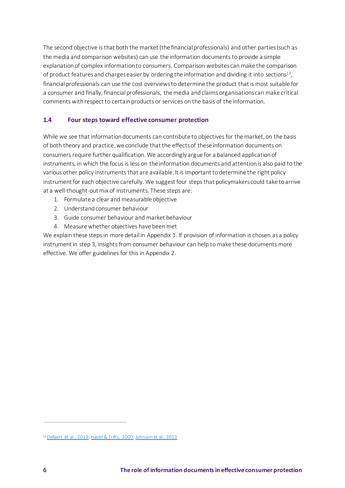The second objective is that both the market (the financial professionals) and other parties (such as the media and comparison websites) can use the information documents to provide a simple explanation of complex information to consumers. Comparison websites can make the comparison of product features and charges easier by ordering the information and dividing it into sections<sup>13</sup>, financial professionals can use the cost overviews to determine the product that is most suitable for a consumer and finally, financial professionals, the media and claims organisations can make critical comments with respect to certain products or services on the basis of the information.

# <span id="page-5-0"></span>**1.4 Four steps toward effective consumer protection**

While we see that information documents can contribute to objectives for the market, on the basis of both theory and practice, we conclude that the effects of these information documents on consumers require further qualification. We accordingly argue for a balanced application of instruments, in which the focus is less on the information documents and attention is also paid to the various other policy instruments that are available. It is important to determine the right policy instrument for each objective carefully. We suggest four steps that policymakers could take to arrive at a well-thought-out mix of instruments. These steps are:

- 1. Formulate a clear and measurable objective
- 2. Understand consumer behaviour
- 3. Guide consumer behaviour and market behaviour
- 4. Measure whether objectives have been met

We explain these steps in more detail in Appendix 1. If provision of information is chosen as a policy instrument in step 3, insights from consumer behaviour can help to make these documents more effective. We offer guidelines for this in Appendix 2.

<sup>&</sup>lt;sup>13</sup> [Dellaert et al., 2019](https://papers.ssrn.com/sol3/papers.cfm?abstract_id=3418231)[; Häubl & Trifts, 2000; Johnson et al., 2013](https://pubsonline.informs.org/doi/abs/10.1287/mksc.19.1.4.15178)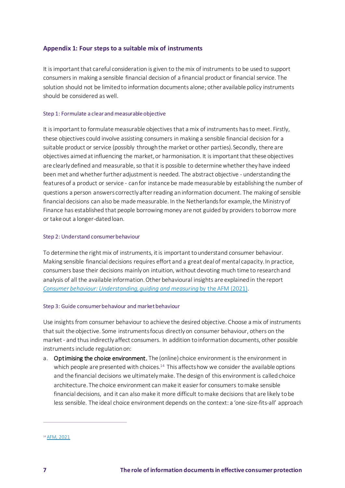# <span id="page-6-0"></span>**Appendix 1: Four steps to a suitable mix of instruments**

It is important that careful consideration is given to the mix of instruments to be used to support consumers in making a sensible financial decision of a financial product or financial service. The solution should not be limited to information documents alone; other available policy instruments should be considered as well.

#### <span id="page-6-1"></span>Step 1: Formulate a clear and measurable objective

It is important to formulate measurable objectives that a mix of instruments has to meet. Firstly, these objectives could involve assisting consumers in making a sensible financial decision for a suitable product or service (possibly through the market or other parties). Secondly, there are objectives aimed at influencing the market, or harmonisation. It is important that these objectives are clearly defined and measurable, so that it is possible to determine whether they have indeed been met and whether further adjustment is needed. The abstract objective - understanding the features of a product or service - can for instance be made measurable by establishing the number of questions a person answers correctly after reading an information document. The making of sensible financial decisions can also be made measurable. In the Netherlands for example, the Ministry of Finance has established that people borrowing money are not guided by providers to borrow more or take out a longer-dated loan.

#### <span id="page-6-2"></span>Step 2: Understand consumer behaviour

To determine the right mix of instruments, it is important to understand consumer behaviour. Making sensible financial decisions requires effort and a great deal of mental capacity. In practice, consumers base their decisions mainly on intuition, without devoting much time to research and analysis of all the available information. Other behavioural insights are explained in the report *[Consumer behaviour:](https://www.afm.nl/~/profmedia/files/publicaties/2021/report-consumer-behaviour-understanding-guiding-measuring.pdf) [Understanding, guiding and measuring](https://www.afm.nl/~/profmedia/files/publicaties/2021/report-consumer-behaviour-understanding-guiding-measuring.pdf)* by the AFM (2021).

#### <span id="page-6-3"></span>Step 3: Guide consumer behaviour and market behaviour

Use insights from consumer behaviour to achieve the desired objective. Choose a mix of instruments that suit the objective. Some instruments focus directly on consumer behaviour, others on the market - and thus indirectly affect consumers. In addition to information documents, other possible instruments include regulation on:

a. Optimising the choice environment. The (online) choice environment is the environment in which people are presented with choices.<sup>14</sup> This affects how we consider the available options and the financial decisions we ultimately make. The design of this environment is called choice architecture. The choice environment can make it easier for consumers to make sensible financial decisions, and it can also make it more difficult to make decisions that are likely to be less sensible. The ideal choice environment depends on the context: a 'one-size-fits-all' approach

<sup>14</sup> [AFM, 2021](https://www.afm.nl/~/profmedia/files/publicaties/2021/report-consumer-behaviour-understanding-guiding-measuring.pdf)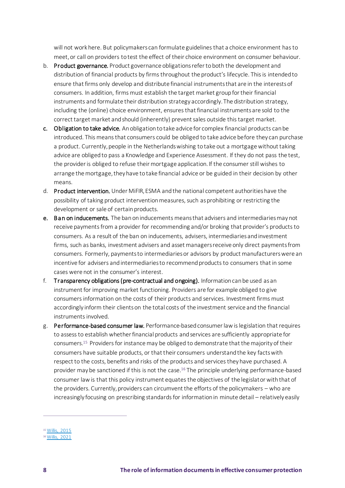will not work here. But policymakers can formulate guidelines that a choice environment has to meet, or call on providers to test the effect of their choice environment on consumer behaviour.

- b. Product governance. Product governance obligations refer to both the development and distribution of financial products by firms throughout the product's lifecycle. This is intended to ensure that firms only develop and distribute financial instruments that are in the interests of consumers. In addition, firms must establish the target market group for their financial instruments and formulate their distribution strategy accordingly. The distribution strategy, including the (online) choice environment, ensures that financial instruments are sold to the correct target market and should (inherently) prevent sales outside this target market.
- c. Obligation to take advice. An obligation to take advice for complex financial products can be introduced. This means that consumers could be obliged to take advice before they can purchase a product. Currently, people in the Netherlands wishing to take out a mortgage without taking advice are obliged to pass a Knowledge and Experience Assessment. If they do not pass the test, the provider is obliged to refuse their mortgage application. If the consumer still wishes to arrange the mortgage, they have to take financial advice or be guided in their decision by other means.
- d. Product intervention. Under MiFIR, ESMA and the national competent authorities have the possibility of taking product intervention measures, such as prohibiting or restricting the development or sale of certain products.
- e. Ban on inducements. The ban on inducements means that advisers and intermediaries may not receive payments from a provider for recommending and/or broking that provider's products to consumers. As a result of the ban on inducements, advisers, intermediaries and investment firms, such as banks, investment advisers and asset managers receive only direct payments from consumers. Formerly, payments to intermediaries or advisors by product manufacturerswere an incentive for advisers and intermediaries to recommend products to consumers that in some cases were not in the consumer's interest.
- f. Transparency obligations (pre-contractual and ongoing). Information can be used as an instrument for improving market functioning. Providers are for example obliged to give consumers information on the costs of their products and services. Investment firms must accordingly inform their clients on the total costs of the investment service and the financial instruments involved.
- g. Performance-based consumer law. Performance-based consumer law is legislation that requires to assessto establish whether financial products and services are sufficiently appropriate for consumers. <sup>15</sup> Providers for instance may be obliged to demonstrate that the majority of their consumers have suitable products, or that their consumers understand the key facts with respect to the costs, benefits and risks of the products and services they have purchased. A provider may be sanctioned if this is not the case.<sup>16</sup> The principle underlying performance-based consumer law is that this policy instrument equates the objectives of the legislatorwith that of the providers. Currently, providers can circumvent the efforts of the policymakers – who are increasingly focusing on prescribing standards for information in minute detail – relatively easily

<sup>15</sup> [Willis, 2015](https://www.jstor.org/stable/43575200)

<sup>16</sup> [Willis, 2021](https://papers.ssrn.com/sol3/papers.cfm?abstract_id=3855830)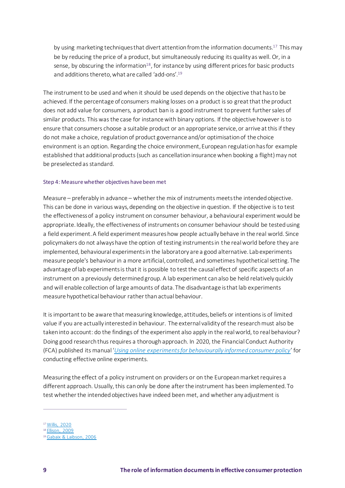by using marketing techniques that divert attention from the information documents.<sup>17</sup> This may be by reducing the price of a product, but simultaneously reducing its quality as well. Or, in a sense, by obscuring the information $18$ , for instance by using different prices for basic products and additions thereto, what are called 'add-ons'.<sup>19</sup>

The instrument to be used and when it should be used depends on the objective that has to be achieved. If the percentage of consumers making losses on a product is so great that the product does not add value for consumers, a product ban is a good instrument to prevent further sales of similar products. This was the case for instance with binary options. If the objective however is to ensure that consumers choose a suitable product or an appropriate service, or arrive at this if they do not make a choice, regulation of product governance and/or optimisation of the choice environment is an option. Regarding the choice environment, European regulation has for example established that additional products (such as cancellation insurance when booking a flight) may not be preselected as standard.

# <span id="page-8-0"></span>Step 4: Measure whether objectives have been met

Measure – preferably in advance – whether the mix of instruments meets the intended objective. This can be done in various ways, depending on the objective in question. If the objective is to test the effectiveness of a policy instrument on consumer behaviour, a behavioural experiment would be appropriate. Ideally, the effectiveness of instruments on consumer behaviour should be tested using a field experiment. A field experiment measures how people actually behave in the real world. Since policymakers do not always have the option of testing instruments in the real world before they are implemented, behavioural experiments in the laboratory are a good alternative. Lab experiments measure people's behaviour in a more artificial, controlled, and sometimes hypothetical setting. The advantage of lab experiments is that it is possible to test the causal effect of specific aspects of an instrument on a previously determined group. A lab experiment can also be held relatively quickly and will enable collection of large amounts of data. The disadvantage is that lab experiments measure hypothetical behaviour rather than actual behaviour.

It is important to be aware that measuring knowledge, attitudes, beliefs or intentions is of limited value if you are actually interested in behaviour. The external validity of the researchmust also be taken into account: do the findings of the experiment also apply in the real world, to real behaviour? Doing good research thus requires a thorough approach. In 2020, the Financial Conduct Authority (FCA) published its manual '*[Using online experiments for behaviourally informed consumer policy](https://www.fca.org.uk/publication/occasional-papers/occasional-paper-51.pdf)*' for conducting effective online experiments.

Measuring the effect of a policy instrument on providers or on the European market requires a different approach. Usually, this can only be done after the instrument has been implemented. To test whether the intended objectives have indeed been met, and whether any adjustment is

<sup>17</sup> [Willis, 2020](https://papers.ssrn.com/sol3/papers.cfm?abstract_id=3694575)

<sup>&</sup>lt;sup>18</sup> [Ellison, 2009](https://onlinelibrary.wiley.com/doi/abs/10.3982/ECTA5708)

<sup>19</sup> [Gabaix & Laibson, 2006](https://academic.oup.com/qje/article-abstract/121/2/505/1884013?redirectedFrom=fulltext)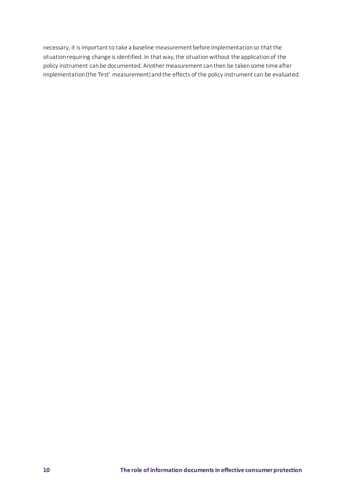necessary, it is important to take a baseline measurement before implementation so that the situation requiring change is identified. In that way, the situation without the application of the policy instrument can be documented. Another measurement can then be taken some time after implementation (the 'first' measurement) and the effects of the policy instrument can be evaluated.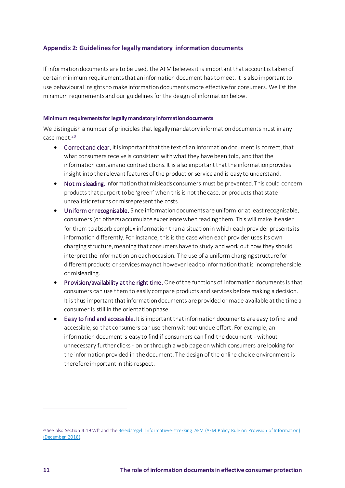# <span id="page-10-0"></span>**Appendix 2: Guidelinesfor legally mandatory information documents**

If information documents are to be used, the AFM believes it is important that account is taken of certain minimum requirements that an information document has to meet. It is also important to use behavioural insights to make information documents more effective for consumers. We list the minimum requirements and our guidelines for the design of information below.

#### <span id="page-10-1"></span>**Minimum requirements for legally mandatory information documents**

We distinguish a number of principles that legally mandatory information documents must in any case meet.<sup>20</sup>

- Correct and clear. It is important that the text of an information document is correct, that what consumers receive is consistent with what they have been told, and that the information contains no contradictions. It is also important that the information provides insight into the relevant features of the product or service and is easy to understand.
- Not misleading.Information that misleads consumers must be prevented. This could concern products that purport to be 'green' when this is not the case, or products that state unrealistic returns or misrepresent the costs.
- Uniform or recognisable. Since information documents are uniform or at least recognisable, consumers (or others) accumulate experience when reading them. This will make it easier for them to absorb complex information than a situation in which each provider presents its information differently. For instance, this is the case when each provider uses its own charging structure, meaning that consumers have to study and work out how they should interpret the information on each occasion. The use of a uniform charging structure for different products or services may not however lead to information that is incomprehensible or misleading.
- Provision/availability at the right time. One of the functions of information documents is that consumers can use them to easily compare products and services before making a decision. It is thus important that information documents are provided or made available at the time a consumer is still in the orientation phase.
- Easy to find and accessible.It is important that information documents are easy to find and accessible, so that consumers can use them without undue effort. For example, an information document is easy to find if consumers can find the document - without unnecessary further clicks - on or through a web page on which consumers are looking for the information provided in the document. The design of the online choice environment is therefore important in this respect.

<sup>20</sup> See also Section 4:19 Wft and th[e Beleidsregel Informatieverstrekking AFM](https://www.afm.nl/nl-nl/nieuws/2018/dec/beleidsregel-informatieverstrekking) (AFM Policy Rule on Provision of Information) (December 2018).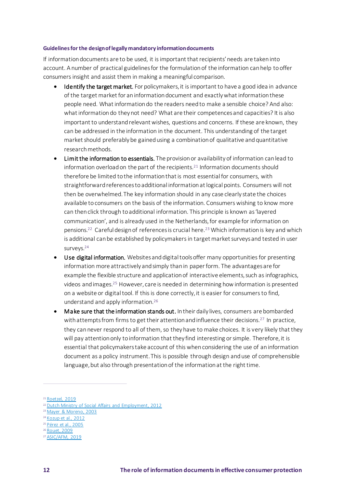#### <span id="page-11-0"></span>**Guidelinesfor the designof legally mandatory information documents**

If information documents are to be used, it is important that recipients' needs are taken into account. A number of practical guidelinesfor the formulation of the information can help to offer consumers insight and assist them in making a meaningful comparison.

- Identify the target market. For policymakers, it is important to have a good idea in advance of the target market for an information document and exactly what information these people need. What information do the readers need to make a sensible choice? And also: what information do they not need? What are their competences and capacities? It is also important to understand relevant wishes, questions and concerns. If these are known, they can be addressed in the information in the document. This understanding of the target market should preferably be gained using a combination of qualitative and quantitative research methods.
- Limit the information to essentials. The provision or availability of information can lead to information overload on the part of the recipients.<sup>21</sup> Information documents should therefore be limited to the information that is most essential for consumers, with straightforward references to additional information at logical points. Consumers will not then be overwhelmed. The key information should in any case clearly state the choices available to consumers on the basis of the information. Consumers wishing to know more can then click through to additional information. This principle is known as 'layered communication', and is already used in the Netherlands, for example for information on pensions.<sup>22</sup> Careful design of references is crucial here.<sup>23</sup> Which information is key and which is additional can be established by policymakers in target market surveys and tested in user surveys.<sup>24</sup>
- Use digital information.Websites and digital tools offer many opportunities for presenting information more attractively and simply than in paper form. The advantages are for example the flexible structure and application of interactive elements, such as infographics, videos and images.<sup>25</sup> However, care is needed in determining how information is presented on a website or digital tool. If this is done correctly, it is easier for consumers to find, understand and apply information.<sup>26</sup>
- Make sure that the information stands out. In their daily lives, consumers are bombarded with attempts from firms to get their attention and influence their decisions.<sup>27</sup> In practice, they can never respond to all of them, so they have to make choices. It is very likely that they will pay attention only to information that they find interesting or simple. Therefore, it is essential that policymakers take account of this when considering the use of an information document as a policy instrument. This is possible through design and use of comprehensible language, but also through presentation of the information at the right time.

<sup>21</sup> [Roetzel, 2019](https://papers.ssrn.com/sol3/papers.cfm?abstract_id=3394871)

<sup>22</sup> [Dutch Ministry of Social Affairs and Employment, 2012](https://www.rijksoverheid.nl/documenten/rapporten/2012/06/26/rapport-pensioen-in-duidelijke-taal)

<sup>23</sup> [Mayer & Moreno, 2003](https://www.tandfonline.com/doi/abs/10.1207/S15326985EP3801_6)

<sup>24</sup> [Kozup et al., 2012](https://journals.sagepub.com/doi/abs/10.1509/jppm.12.047)

<sup>25</sup> [Pérez et al., 2005](https://www.sciencedirect.com/science/article/pii/S0740624X05000183)

<sup>26</sup> [Rouet, 2009](https://www.sciencedirect.com/science/article/pii/S0959475209000127)

<sup>&</sup>lt;sup>27</sup> [ASIC/AFM, 2019](https://www.afm.nl/~/profmedia/files/rapporten/2019/afm-asic-disclosure-report.pdf?la=en)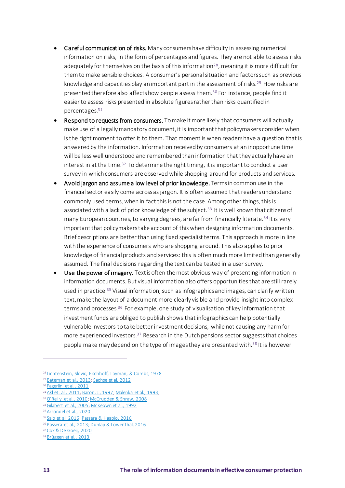- Careful communication of risks. Many consumers have difficulty in assessing numerical information on risks, in the form of percentages and figures. They are not able to assess risks adequately for themselves on the basis of this information<sup>28</sup>, meaning it is more difficult for them to make sensible choices. A consumer's personal situation and factors such as previous knowledge and capacities play an important part in the assessment of risks.<sup>29</sup> How risks are presented therefore also affects how people assess them.<sup>30</sup> For instance, people find it easier to assess risks presented in absolute figures rather than risks quantified in percentages.<sup>31</sup>
- Respond to requests from consumers. To make it more likely that consumers will actually make use of a legally mandatory document, it is important that policymakers consider when is the right moment to offer it to them. That moment is when readers have a question that is answered by the information. Information received by consumers at an inopportune time will be less well understood and remembered than information that they actually have an interest in at the time.<sup>32</sup> To determine the right timing, it is important to conduct a user survey in which consumers are observed while shopping around for products and services.
- Avoid jargon and assume a low level of prior knowledge. Terms in common use in the financial sector easily come across as jargon. It is often assumed that readers understand commonly used terms, when in fact this is not the case. Among other things, this is associated with a lack of prior knowledge of the subject.<sup>33</sup> It is well known that citizens of many European countries, to varying degrees, are far from financially literate.<sup>34</sup> It is very important that policymakers take account of this when designing information documents. Brief descriptions are better than using fixed specialist terms. This approach is more in line with the experience of consumers who are shopping around. This also applies to prior knowledge of financial products and services: this is often much more limited than generally assumed. The final decisions regarding the text can be tested in a user survey.
- Use the power of imagery. Text is often the most obvious way of presenting information in information documents. But visual information also offers opportunities that are still rarely used in practice.<sup>35</sup> Visual information, such as infographics and images, can clarify written text, make the layout of a document more clearly visible and provide insight into complex terms and processes.<sup>36</sup> For example, one study of visualisation of key information that investment funds are obliged to publish shows that infographics can help potentially vulnerable investors to take better investment decisions, while not causing any harm for more experienced investors.<sup>37</sup> Research in the Dutch pensions sector suggests that choices people make may depend on the type of images they are presented with.<sup>38</sup> It is however

<sup>28</sup> [Lichtenstein, Slovic, Fischhoff, Layman, & Combs, 1978](https://psycnet.apa.org/record/1980-20983-001)

<sup>29</sup> [Bateman et al., 2013](https://www.cambridge.org/core/journals/journal-of-pension-economics-and-finance/article/abs/financial-competence-risk-presentation-and-retirement-portfolio-preferences/AA99B59D2F45CCCCAE92786086D062C9)[; Sachse et al.,2012](https://www.sciencedirect.com/science/article/pii/S0167487011001929)

<sup>30</sup> [Fagerlin et al., 2011](https://academic.oup.com/jnci/article/103/19/1436/899532?login=true)

<sup>31</sup> [Akl et. al., 2011](https://www.cochranelibrary.com/cdsr/doi/10.1002/14651858.CD006776.pub2/abstract)[; Baron, J., 1997](https://link.springer.com/article/10.1023/A:1007796310463)[; Malenka et al., 1993;](https://link.springer.com/article/10.1007%2FBF02599636)

<sup>&</sup>lt;sup>32</sup> [O'Reilly et al., 2010](https://www.tandfonline.com/doi/abs/10.1080/10627197.2018.1513787)[; McCrudden & Shraw, 2008](https://psycnet.apa.org/record/2008-00314-003)

<sup>&</sup>lt;sup>33</sup> [Gilabert et al., 2005](https://www.sciencedirect.com/science/article/pii/S0959475204001021)[; McKeown et al., 1992](https://www.jstor.org/stable/747834)

<sup>34</sup> [Arrondel et al., 2020](https://halshs.archives-ouvertes.fr/halshs-03243830/)

<sup>35</sup> [Salo et al. 2016](https://papers.ssrn.com/sol3/papers.cfm?abstract_id=2941456)[; Passera & Haapio, 2016](https://dl.acm.org/doi/abs/10.1145/2466489.2466498)

<sup>36</sup> [Passera et al., 2013;](https://scholarlycommons.law.cwsl.edu/fs/73/) [Dunlap & Lowenthal, 2016](https://www.tandfonline.com/doi/pdf/10.1080/1051144X.2016.1205832)

<sup>37</sup> [Cox & De Goeij, 2020](https://www.netspar.nl/publicatie/infographics-en-financiele-beslissingen/)

<sup>&</sup>lt;sup>38</sup> [Brüggen et al., 2013](https://www.netspar.nl/assets/uploads/NDP_15_WEB.pdf)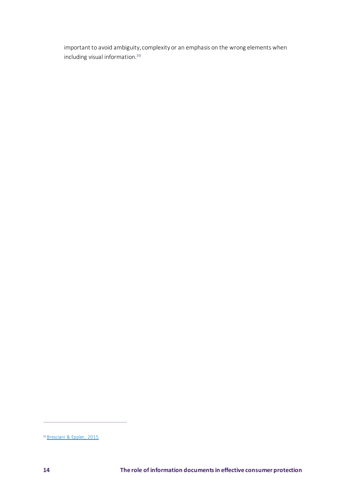important to avoid ambiguity, complexity or an emphasis on the wrong elements when including visual information.<sup>39</sup>

<sup>&</sup>lt;sup>39</sup> [Bresciani & Eppler, 2015](https://journals.sagepub.com/doi/pdf/10.1177/2158244015611451)